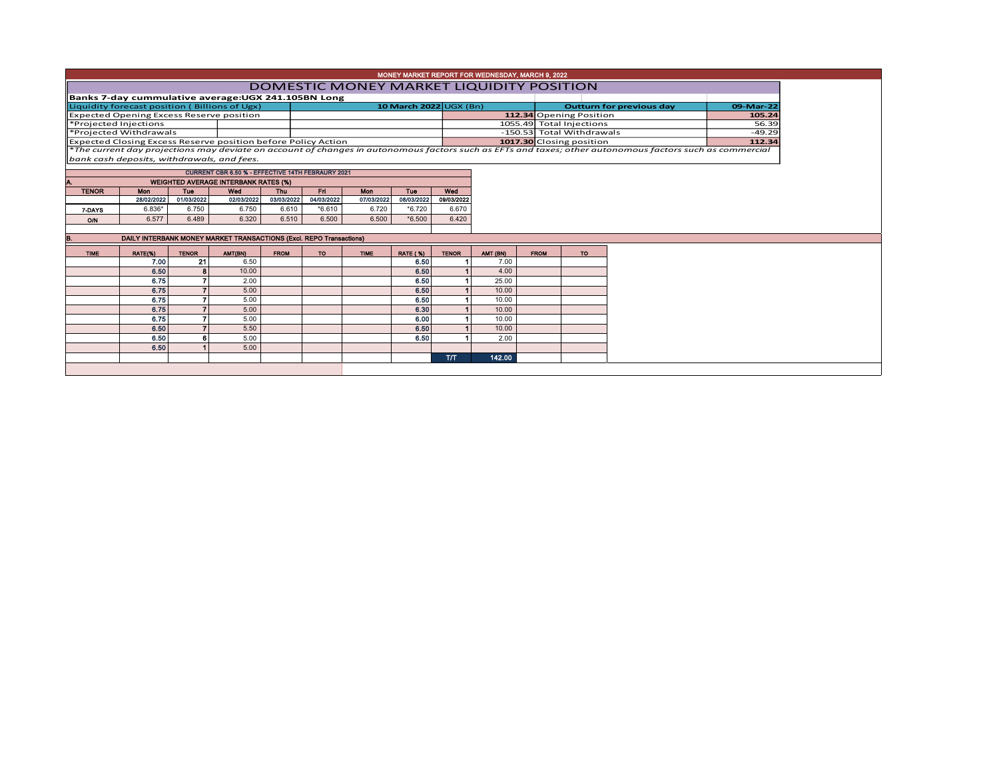|                                                 |                                            |              |                                                                      |             |            |             |                        |              | MONEY MARKET REPORT FOR WEDNESDAY, MARCH 9, 2022 |                           |             |                          |                                                                                                                                                          |       |           |
|-------------------------------------------------|--------------------------------------------|--------------|----------------------------------------------------------------------|-------------|------------|-------------|------------------------|--------------|--------------------------------------------------|---------------------------|-------------|--------------------------|----------------------------------------------------------------------------------------------------------------------------------------------------------|-------|-----------|
| DOMESTIC MONEY MARKET LIQUIDITY POSITION        |                                            |              |                                                                      |             |            |             |                        |              |                                                  |                           |             |                          |                                                                                                                                                          |       |           |
|                                                 |                                            |              | Banks 7-day cummulative average: UGX 241.105BN Long                  |             |            |             |                        |              |                                                  |                           |             |                          |                                                                                                                                                          |       |           |
|                                                 |                                            |              | Liquidity forecast position (Billions of Ugx)                        |             |            |             | 10 March 2022 UGX (Bn) |              |                                                  |                           |             |                          | <b>Outturn for previous day</b>                                                                                                                          |       | 09-Mar-22 |
| <b>Expected Opening Excess Reserve position</b> |                                            |              |                                                                      |             |            |             |                        |              |                                                  |                           |             | 112.34 Opening Position  |                                                                                                                                                          |       | 105.24    |
| *Projected Injections                           |                                            |              |                                                                      |             |            |             |                        |              |                                                  |                           |             | 1055.49 Total Injections |                                                                                                                                                          | 56.39 |           |
| *Projected Withdrawals                          |                                            |              |                                                                      |             |            |             |                        |              |                                                  | -150.53 Total Withdrawals |             |                          | $-49.29$                                                                                                                                                 |       |           |
|                                                 |                                            |              | <b>Expected Closing Excess Reserve position before Policy Action</b> |             |            |             |                        |              |                                                  |                           |             | 1017.30 Closing position |                                                                                                                                                          |       | 112.34    |
|                                                 |                                            |              |                                                                      |             |            |             |                        |              |                                                  |                           |             |                          | *The current day projections may deviate on account of changes in autonomous factors such as EFTs and taxes; other autonomous factors such as commercial |       |           |
|                                                 | bank cash deposits, withdrawals, and fees. |              |                                                                      |             |            |             |                        |              |                                                  |                           |             |                          |                                                                                                                                                          |       |           |
|                                                 |                                            |              | <b>CURRENT CBR 6.50 % - EFFECTIVE 14TH FEBRAURY 2021</b>             |             |            |             |                        |              |                                                  |                           |             |                          |                                                                                                                                                          |       |           |
|                                                 |                                            |              | <b>WEIGHTED AVERAGE INTERBANK RATES (%)</b>                          |             |            |             |                        |              |                                                  |                           |             |                          |                                                                                                                                                          |       |           |
| <b>TENOR</b>                                    | <b>Mon</b>                                 | <b>Tuo</b>   | Wed                                                                  | <b>Thu</b>  | Fri        | Mon         | <b>Tue</b>             | Wed          |                                                  |                           |             |                          |                                                                                                                                                          |       |           |
|                                                 | 28/02/2022                                 | 01/03/2022   | 02/03/2022                                                           | 03/03/2022  | 04/03/2022 | 07/03/2022  | 08/03/2022             | 09/03/2022   |                                                  |                           |             |                          |                                                                                                                                                          |       |           |
| 7-DAYS                                          | 6.836*                                     | 6.750        | 6.750                                                                | 6.610       | $*6.610$   | 6.720       | $*6.720$               | 6.670        |                                                  |                           |             |                          |                                                                                                                                                          |       |           |
| O/N                                             | 6.577                                      | 6.489        | 6.320                                                                | 6.510       | 6.500      | 6.500       | $*6.500$               | 6.420        |                                                  |                           |             |                          |                                                                                                                                                          |       |           |
|                                                 |                                            |              |                                                                      |             |            |             |                        |              |                                                  |                           |             |                          |                                                                                                                                                          |       |           |
| в.                                              |                                            |              | DAILY INTERBANK MONEY MARKET TRANSACTIONS (Excl. REPO Transactions)  |             |            |             |                        |              |                                                  |                           |             |                          |                                                                                                                                                          |       |           |
| <b>TIME</b>                                     | RATE(%)                                    | <b>TENOR</b> | <b>AMT(BN)</b>                                                       | <b>FROM</b> | TO.        | <b>TIME</b> | <b>RATE (%)</b>        | <b>TENOR</b> | AMT (BN)                                         |                           | <b>FROM</b> | TO:                      |                                                                                                                                                          |       |           |
|                                                 | 7.00                                       | 21           | 6.50                                                                 |             |            |             | 6.50                   |              | 7.00                                             |                           |             |                          |                                                                                                                                                          |       |           |
|                                                 | 6.50                                       |              | 10.00                                                                |             |            |             | 6.50                   |              | 4.00                                             |                           |             |                          |                                                                                                                                                          |       |           |
|                                                 | 6.75                                       |              | 2.00                                                                 |             |            |             | 6.50                   |              | 25.00                                            |                           |             |                          |                                                                                                                                                          |       |           |
|                                                 | 6.75                                       |              | 5.00                                                                 |             |            |             | 6.50                   |              | 10.00                                            |                           |             |                          |                                                                                                                                                          |       |           |
|                                                 | 6.75                                       |              | 5.00                                                                 |             |            |             | 6.50                   |              | 10.00                                            |                           |             |                          |                                                                                                                                                          |       |           |
|                                                 | 6.75                                       |              | 5.00                                                                 |             |            |             | 6.30                   |              | 10.00                                            |                           |             |                          |                                                                                                                                                          |       |           |
|                                                 | 6.75                                       |              | 5.00                                                                 |             |            |             | 6.00                   |              | 10.00                                            |                           |             |                          |                                                                                                                                                          |       |           |
|                                                 | 6.50                                       |              | 5.50                                                                 |             |            |             | 6.50                   |              | 10.00                                            |                           |             |                          |                                                                                                                                                          |       |           |
|                                                 | 6.50                                       |              | 5.00                                                                 |             |            |             | 6.50                   |              | 2.00                                             |                           |             |                          |                                                                                                                                                          |       |           |
|                                                 | 6.50                                       |              | 5.00                                                                 |             |            |             |                        |              |                                                  |                           |             |                          |                                                                                                                                                          |       |           |
|                                                 |                                            |              |                                                                      |             |            |             |                        | <b>T/T</b>   | 142.00                                           |                           |             |                          |                                                                                                                                                          |       |           |
|                                                 |                                            |              |                                                                      |             |            |             |                        |              |                                                  |                           |             |                          |                                                                                                                                                          |       |           |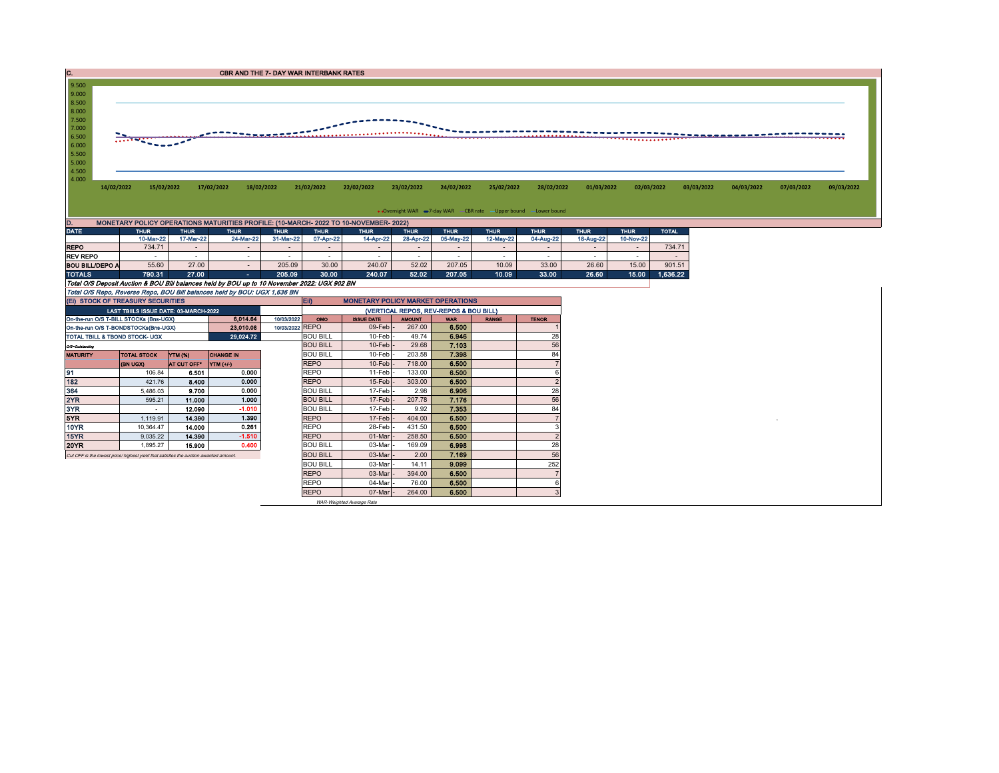| IC.                    | <b>CBR AND THE 7- DAY WAR INTERBANK RATES</b>                                                |             |                          |             |                          |                                          |               |                                        |                                                                   |                          |             |                          |              |            |            |            |            |
|------------------------|----------------------------------------------------------------------------------------------|-------------|--------------------------|-------------|--------------------------|------------------------------------------|---------------|----------------------------------------|-------------------------------------------------------------------|--------------------------|-------------|--------------------------|--------------|------------|------------|------------|------------|
| 9.500                  |                                                                                              |             |                          |             |                          |                                          |               |                                        |                                                                   |                          |             |                          |              |            |            |            |            |
| 9.000                  |                                                                                              |             |                          |             |                          |                                          |               |                                        |                                                                   |                          |             |                          |              |            |            |            |            |
| 8.500                  |                                                                                              |             |                          |             |                          |                                          |               |                                        |                                                                   |                          |             |                          |              |            |            |            |            |
| 8.000                  |                                                                                              |             |                          |             |                          |                                          |               |                                        |                                                                   |                          |             |                          |              |            |            |            |            |
| 7.500                  |                                                                                              |             |                          |             |                          |                                          |               |                                        |                                                                   |                          |             |                          |              |            |            |            |            |
| 7.000                  |                                                                                              |             |                          |             |                          |                                          |               |                                        |                                                                   |                          |             |                          |              |            |            |            |            |
| 6.500                  |                                                                                              |             |                          |             |                          |                                          |               |                                        |                                                                   |                          |             |                          |              |            |            |            |            |
| 6.000                  |                                                                                              |             |                          |             |                          |                                          |               |                                        |                                                                   |                          |             |                          |              |            |            |            |            |
| 5.500                  |                                                                                              |             |                          |             |                          |                                          |               |                                        |                                                                   |                          |             |                          |              |            |            |            |            |
| 5.000                  |                                                                                              |             |                          |             |                          |                                          |               |                                        |                                                                   |                          |             |                          |              |            |            |            |            |
| 4.500<br>4.000         |                                                                                              |             |                          |             |                          |                                          |               |                                        |                                                                   |                          |             |                          |              |            |            |            |            |
|                        | 14/02/2022                                                                                   | 15/02/2022  | 17/02/2022               | 18/02/2022  | 21/02/2022               | 22/02/2022                               | 23/02/2022    | 24/02/2022                             | 25/02/2022                                                        | 28/02/2022               | 01/03/2022  | 02/03/2022               |              | 03/03/2022 | 04/03/2022 | 07/03/2022 | 09/03/2022 |
|                        |                                                                                              |             |                          |             |                          |                                          |               |                                        |                                                                   |                          |             |                          |              |            |            |            |            |
|                        |                                                                                              |             |                          |             |                          |                                          |               |                                        |                                                                   |                          |             |                          |              |            |            |            |            |
|                        |                                                                                              |             |                          |             |                          |                                          |               |                                        | • Overnight WAR -7-day WAR - CBR rate - Upper bound - Lower bound |                          |             |                          |              |            |            |            |            |
| D.                     | MONETARY POLICY OPERATIONS MATURITIES PROFILE: (10-MARCH- 2022 TO 10-NOVEMBER- 2022)         |             |                          |             |                          |                                          |               |                                        |                                                                   |                          |             |                          |              |            |            |            |            |
| <b>DATE</b>            | <b>THUR</b>                                                                                  | <b>THUR</b> | <b>THUR</b>              | <b>THUR</b> | <b>THUR</b>              | <b>THUR</b>                              | <b>THUR</b>   | <b>THUR</b>                            | <b>THUR</b>                                                       | <b>THUR</b>              | <b>THUR</b> | <b>THUR</b>              | <b>TOTAL</b> |            |            |            |            |
|                        | 10-Mar-22                                                                                    | 17-Mar-22   | 24-Mar-22                | 31-Mar-22   | 07-Apr-22                | 14-Apr-22                                | 28-Apr-22     | 05-May-22                              | 12-May-22                                                         | 04-Aug-22                | 18-Aug-22   | 10-Nov-22                |              |            |            |            |            |
| <b>REPO</b>            | 734.71                                                                                       | $\sim$      |                          |             | $\overline{\phantom{a}}$ |                                          |               |                                        | $\overline{\phantom{a}}$                                          | $\overline{\phantom{a}}$ |             | $\sim$                   | 734.71       |            |            |            |            |
| <b>REV REPO</b>        | $\sim$                                                                                       | $\sim$      | $\overline{\phantom{a}}$ |             | $\overline{\phantom{a}}$ | $\sim$                                   | $\sim$        | $\overline{\phantom{a}}$               | $\sim$                                                            | $\overline{\phantom{a}}$ | $\sim$      | $\overline{\phantom{a}}$ | $\sim$       |            |            |            |            |
| <b>BOU BILL/DEPO A</b> | 55.60                                                                                        | 27.00       | $\overline{\phantom{a}}$ | 205.09      | 30.00                    | 240.07                                   | 52.02         | 207.05                                 | 10.09                                                             | 33.00                    | 26.60       | 15.00                    | 901.51       |            |            |            |            |
| <b>TOTALS</b>          |                                                                                              |             |                          |             |                          |                                          |               |                                        |                                                                   |                          |             |                          |              |            |            |            |            |
|                        | 790.31                                                                                       | 27.00       | $\sim$ 10 $\pm$          | 205.09      | 30.00                    | 240.07                                   | 52.02         | 207.05                                 | 10.09                                                             | 33.00                    | 26.60       | 15.00                    | 1,636.22     |            |            |            |            |
|                        | Total O/S Deposit Auction & BOU Bill balances held by BOU up to 10 November 2022: UGX 902 BN |             |                          |             |                          |                                          |               |                                        |                                                                   |                          |             |                          |              |            |            |            |            |
|                        | Total O/S Repo, Reverse Repo, BOU Bill balances held by BOU: UGX 1,636 BN                    |             |                          |             |                          |                                          |               |                                        |                                                                   |                          |             |                          |              |            |            |            |            |
|                        | (EI) STOCK OF TREASURY SECURITIES                                                            |             |                          |             | <b>ED</b>                | <b>MONETARY POLICY MARKET OPERATIONS</b> |               |                                        |                                                                   |                          |             |                          |              |            |            |            |            |
|                        | LAST TBIILS ISSUE DATE: 03-MARCH-2022                                                        |             |                          |             |                          |                                          |               | (VERTICAL REPOS, REV-REPOS & BOU BILL) |                                                                   |                          |             |                          |              |            |            |            |            |
|                        | On-the-run O/S T-BILL STOCKs (Bns-UGX)                                                       |             | 6.014.64                 | 10/03/2022  | OMO                      | <b>ISSUE DATE</b>                        | <b>AMOUNT</b> | <b>WAR</b>                             | <b>RANGE</b>                                                      | <b>TENOR</b>             |             |                          |              |            |            |            |            |

| (EI) STOCK OF TREASURY SECURITIES                                    |                                                                                       |                    |                     |       | <b>EID</b><br><b>MONETARY POLICY MARKET OPERATIONS</b> |                                        |               |            |              |              |  |  |  |  |
|----------------------------------------------------------------------|---------------------------------------------------------------------------------------|--------------------|---------------------|-------|--------------------------------------------------------|----------------------------------------|---------------|------------|--------------|--------------|--|--|--|--|
| LAST TBIILS ISSUE DATE: 03-MARCH-2022                                |                                                                                       |                    |                     |       |                                                        | (VERTICAL REPOS, REV-REPOS & BOU BILL) |               |            |              |              |  |  |  |  |
| 6.014.64<br>10/03/2022<br>On-the-run O/S T-BILL STOCKs (Bns-UGX)     |                                                                                       |                    |                     |       |                                                        | <b>ISSUE DATE</b>                      | <b>AMOUNT</b> | <b>WAR</b> | <b>RANGE</b> | <b>TENOR</b> |  |  |  |  |
| 10/03/2022 REPO<br>23.010.08<br>On-the-run O/S T-BONDSTOCKs(Bns-UGX) |                                                                                       |                    |                     |       |                                                        | $09$ -Feb $\vert$ -                    | 267,00        | 6.500      |              |              |  |  |  |  |
| 29,024.72<br>TOTAL TBILL & TBOND STOCK- UGX                          |                                                                                       |                    |                     |       | <b>BOU BILL</b>                                        | $10$ -Feb $\vert$ -                    | 49.74         | 6.946      |              | 28           |  |  |  |  |
| Q/S=Outstanding                                                      |                                                                                       | <b>BOU BILL</b>    | $10$ -Feb $\vert$ - | 29.68 | 7.103                                                  |                                        | 56            |            |              |              |  |  |  |  |
| <b>MATURITY</b>                                                      | <b>TOTAL STOCK</b>                                                                    | YTM (%)            | <b>CHANGE IN</b>    |       | <b>BOU BILL</b>                                        | 10-Feb-                                | 203.58        | 7.398      |              | 84           |  |  |  |  |
|                                                                      | (BN UGX)                                                                              | <b>AT CUT OFF"</b> | <b>YTM (+/-)</b>    |       | <b>REPO</b>                                            | $10$ -Feb $-$                          | 718.00        | 6.500      |              |              |  |  |  |  |
| 91                                                                   | 106.84                                                                                | 6.501              | 0.000               |       | <b>REPO</b>                                            | 11-Feb -                               | 133.00        | 6.500      |              |              |  |  |  |  |
| 182                                                                  | 421.76                                                                                | 8.400              | 0.000               |       | <b>REPO</b>                                            | $15$ -Feb $\vert$ -                    | 303.00        | 6.500      |              |              |  |  |  |  |
| 364                                                                  | 5,486.03                                                                              | 9.700              | 0.000               |       | <b>BOU BILL</b>                                        | $17$ -Feb $\vert$ -                    | 2.98          | 6.906      |              | 28           |  |  |  |  |
| 2YR                                                                  | 595.21                                                                                | 11.000             | 1.000               |       | <b>BOU BILL</b>                                        | $17$ -Feb $\vert$ -                    | 207.78        | 7.176      |              | 56           |  |  |  |  |
| 3YR                                                                  |                                                                                       | 12.090             | $-1.010$            |       | <b>BOU BILL</b>                                        | $17-Feb$                               | 9.92          | 7.353      |              | 84           |  |  |  |  |
| 5YR                                                                  | 1,119.91                                                                              | 14.390             | 1.390               |       | <b>REPO</b>                                            | $17$ -Feb $-$                          | 404.00        | 6.500      |              |              |  |  |  |  |
| 10YR                                                                 | 10.364.47                                                                             | 14.000             | 0.261               |       | <b>REPO</b>                                            | 28-Feb-                                | 431.50        | 6.500      |              |              |  |  |  |  |
| 15YR                                                                 | 9.035.22                                                                              | 14.390             | $-1.510$            |       | <b>REPO</b>                                            | 01-Mar                                 | 258.50        | 6.500      |              |              |  |  |  |  |
| <b>20YR</b>                                                          | 1,895.27                                                                              | 15.900             | 0.400               |       | <b>BOU BILL</b>                                        | 03-Mar -                               | 169.09        | 6,998      |              | 28           |  |  |  |  |
|                                                                      | Cut OFF is the lowest price/ highest yield that satisfies the auction awarded amount. |                    |                     |       |                                                        | 03-Mar -                               | 2.00          | 7.169      |              | 56           |  |  |  |  |
|                                                                      |                                                                                       |                    |                     |       | <b>BOU BILL</b>                                        | 03-Mar                                 | 14.11         | 9.099      |              | 252          |  |  |  |  |
|                                                                      |                                                                                       |                    |                     |       | <b>REPO</b>                                            | 03-Mar                                 | 394.00        | 6.500      |              |              |  |  |  |  |
|                                                                      |                                                                                       |                    |                     |       | <b>REPO</b>                                            | 04-Mar                                 | 76.00         | 6.500      |              |              |  |  |  |  |
|                                                                      |                                                                                       |                    |                     |       | <b>REPO</b>                                            | 07-Mar -                               | 264.00        | 6.500      |              |              |  |  |  |  |

WAR-Weighted Average Rate